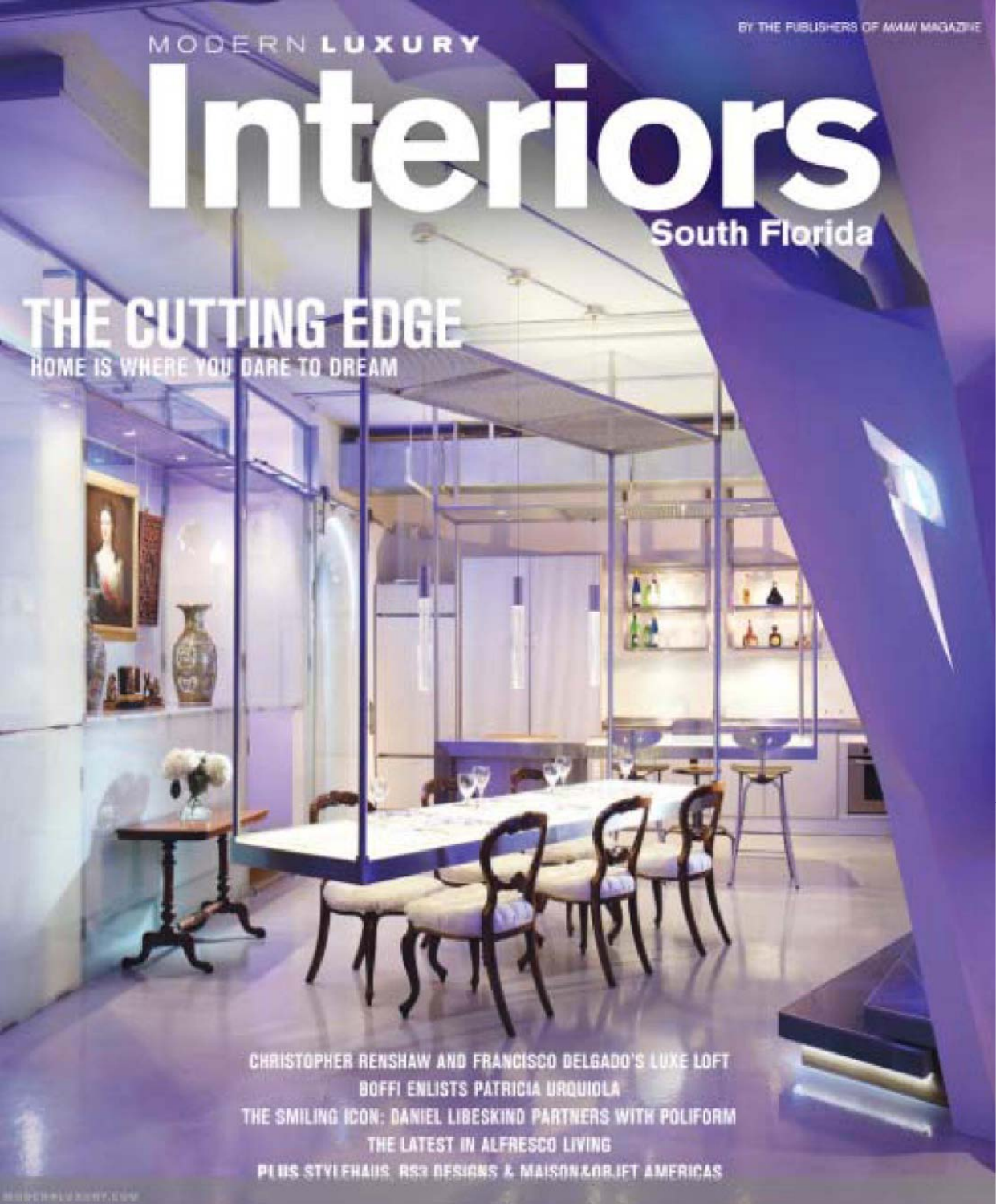BY THE PUBLISHERS OF MAIN/ MAGAZINE

MODERN LUXURY

OIS South Florida

Π

THE CUTTING EDGE

CHRISTOPHER RENSHAW AND FRANCISCO DELGADO'S LUXE LOFT BOFFI ENLISTS PATRICIA URQUIOLA THE SMILING ICON: DANIEL LIBESKIND PARTNERS WITH POLIFORM THE LATEST IN ALFRESCO LIVING PLUS STVLEHAUS RS2 DESIGNS & MAISONAOR IFT AMERICAS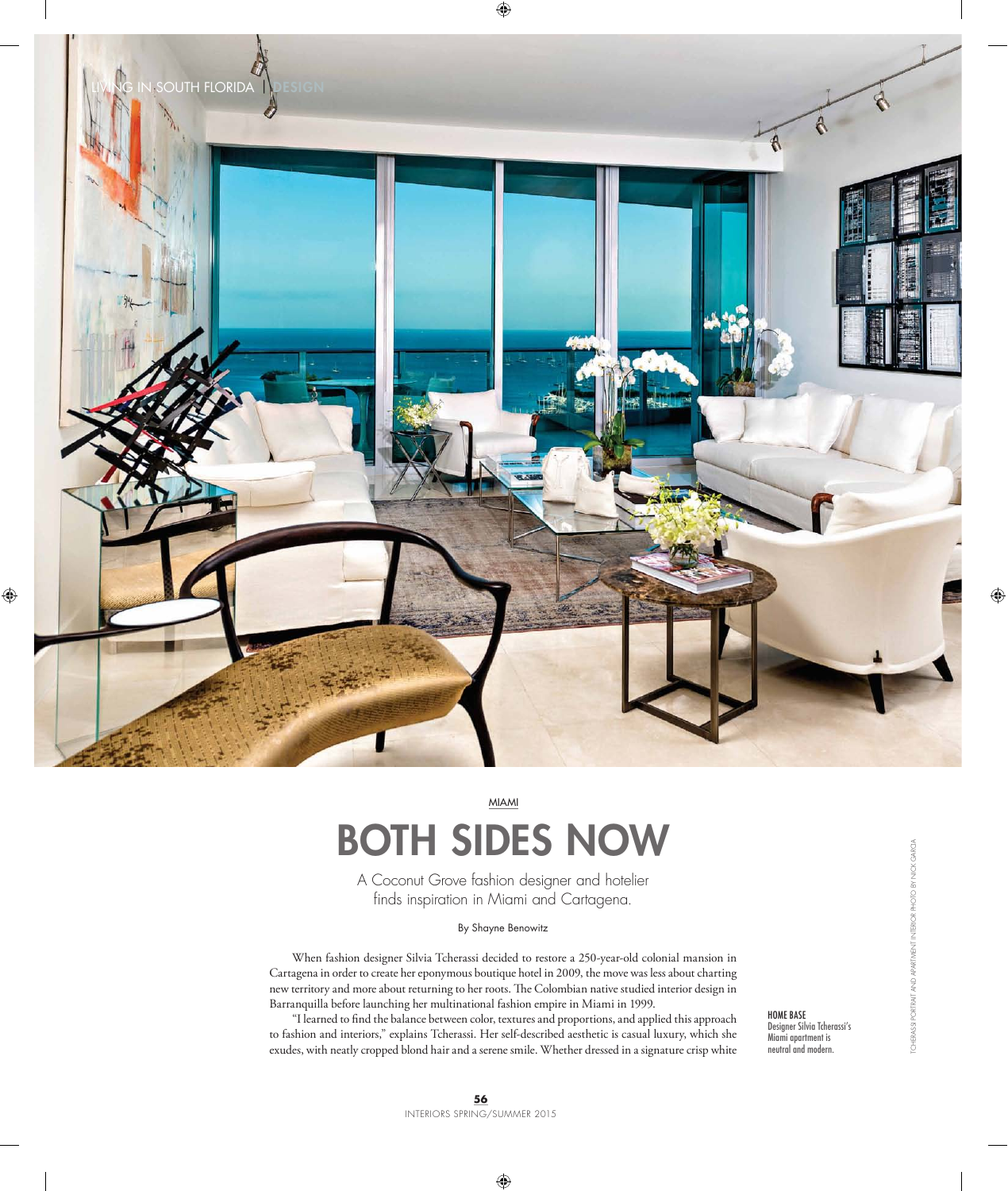

MIAMI

## BOTH SIDES NOW

A Coconut Grove fashion designer and hotelier finds inspiration in Miami and Cartagena.

## By Shayne Benowitz

When fashion designer Silvia Tcherassi decided to restore a 250-year-old colonial mansion in Cartagena in order to create her eponymous boutique hotel in 2009, the move was less about charting new territory and more about returning to her roots. The Colombian native studied interior design in Barranquilla before launching her multinational fashion empire in Miami in 1999.

"I learned to find the balance between color, textures and proportions, and applied this approach to fashion and interiors," explains Tcherassi. Her self-described aesthetic is casual luxury, which she exudes, with neatly cropped blond hair and a serene smile. Whether dressed in a signature crisp white HOME BASE Designer Silvia Tcherassi's Miami apartment is neutral and modern.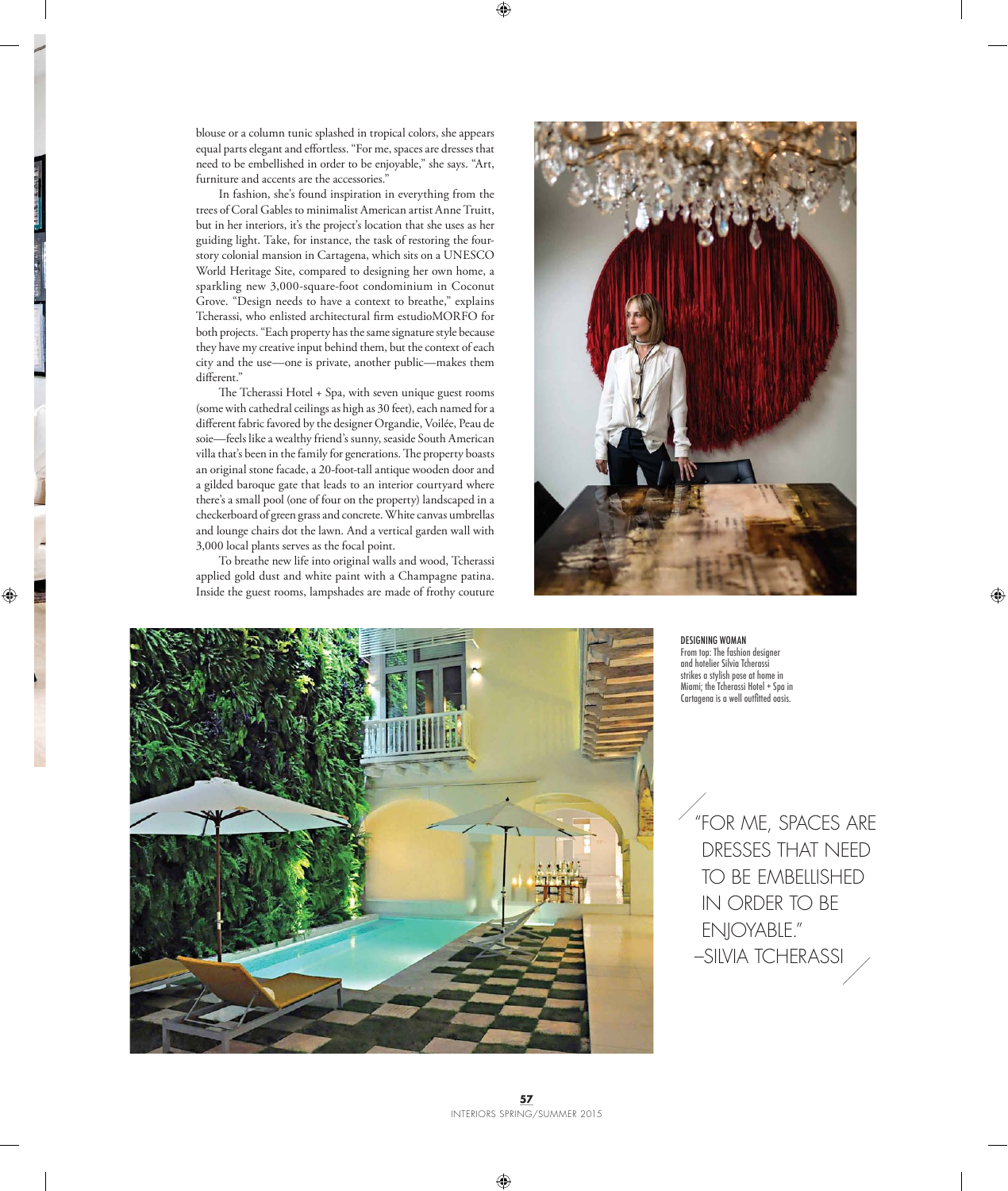blouse or a column tunic splashed in tropical colors, she appears equal parts elegant and effortless. "For me, spaces are dresses that need to be embellished in order to be enjoyable," she says. "Art, furniture and accents are the accessories."

In fashion, she's found inspiration in everything from the trees of Coral Gables to minimalist American artist Anne Truitt, but in her interiors, it's the project's location that she uses as her guiding light. Take, for instance, the task of restoring the fourstory colonial mansion in Cartagena, which sits on a UNESCO World Heritage Site, compared to designing her own home, a sparkling new 3,000-square-foot condominium in Coconut Grove. "Design needs to have a context to breathe," explains Tcherassi, who enlisted architectural firm estudioMORFO for both projects. "Each property has the same signature style because they have my creative input behind them, but the context of each city and the use—one is private, another public—makes them different."

The Tcherassi Hotel + Spa, with seven unique guest rooms (some with cathedral ceilings as high as 30 feet), each named for a different fabric favored by the designer Organdie, Voilée, Peau de soie—feels like a wealthy friend's sunny, seaside South American villa that's been in the family for generations. The property boasts an original stone facade, a 20-foot-tall antique wooden door and a gilded baroque gate that leads to an interior courtyard where there's a small pool (one of four on the property) landscaped in a checkerboard of green grass and concrete. White canvas umbrellas and lounge chairs dot the lawn. And a vertical garden wall with 3,000 local plants serves as the focal point.

To breathe new life into original walls and wood, Tcherassi applied gold dust and white paint with a Champagne patina. Inside the guest rooms, lampshades are made of frothy couture





DESIGNING WOMAN From top: The fashion designer and hotelier Silvia Tcherassi strikes a stylish pose at home in Miami; the Tcherassi Hotel + Spa in Cartagena is a well outfitted oasis.